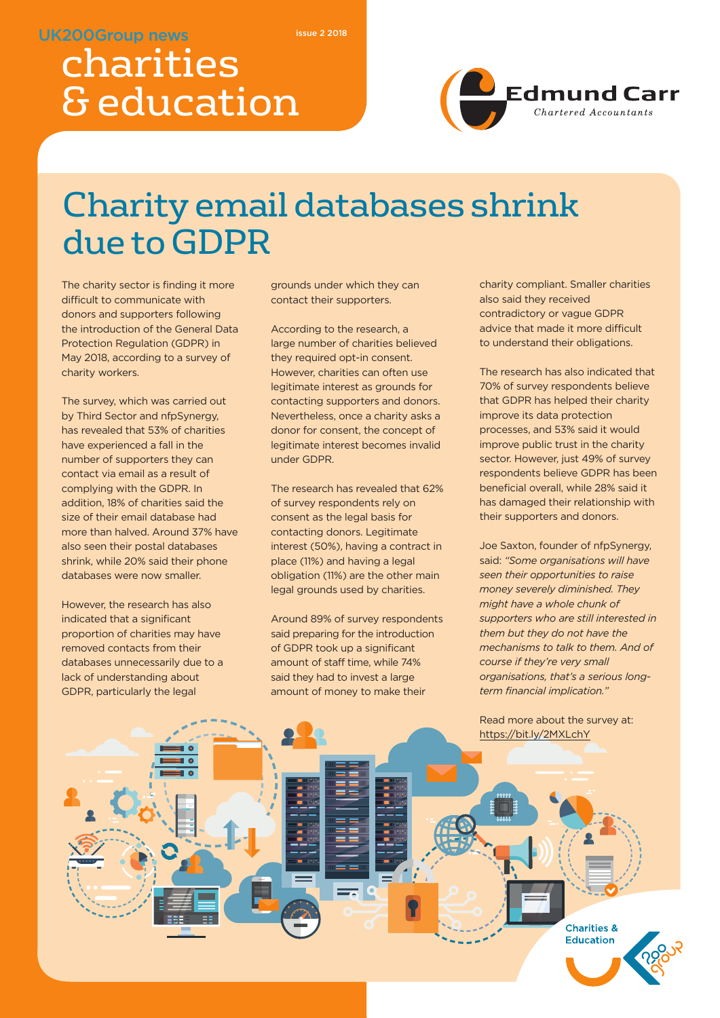#### **UK200Group news**

**issue 2 2018**

# charities & education



## Charity email databases shrink due to GDPR

The charity sector is finding it more difficult to communicate with donors and supporters following the introduction of the General Data Protection Regulation (GDPR) in May 2018, according to a survey of charity workers.

The survey, which was carried out by Third Sector and nfpSynergy, has revealed that 53% of charities have experienced a fall in the number of supporters they can contact via email as a result of complying with the GDPR. In addition, 18% of charities said the size of their email database had more than halved. Around 37% have also seen their postal databases shrink, while 20% said their phone databases were now smaller.

However, the research has also indicated that a significant proportion of charities may have removed contacts from their databases unnecessarily due to a lack of understanding about GDPR, particularly the legal

grounds under which they can contact their supporters.

According to the research, a large number of charities believed they required opt-in consent. However, charities can often use legitimate interest as grounds for contacting supporters and donors. Nevertheless, once a charity asks a donor for consent, the concept of legitimate interest becomes invalid under GDPR.

The research has revealed that 62% of survey respondents rely on consent as the legal basis for contacting donors. Legitimate interest (50%), having a contract in place (11%) and having a legal obligation (11%) are the other main legal grounds used by charities.

Around 89% of survey respondents said preparing for the introduction of GDPR took up a significant amount of staff time, while 74% said they had to invest a large amount of money to make their

charity compliant. Smaller charities also said they received contradictory or vague GDPR advice that made it more difficult to understand their obligations.

The research has also indicated that 70% of survey respondents believe that GDPR has helped their charity improve its data protection processes, and 53% said it would improve public trust in the charity sector. However, just 49% of survey respondents believe GDPR has been beneficial overall, while 28% said it has damaged their relationship with their supporters and donors.

Joe Saxton, founder of nfpSynergy, said: *"Some organisations will have seen their opportunities to raise money severely diminished. They might have a whole chunk of supporters who are still interested in them but they do not have the mechanisms to talk to them. And of course if they're very small organisations, that's a serious longterm financial implication."*

Read more about the survey at: https://bit.ly/2MXLchY

> **Charities & Education**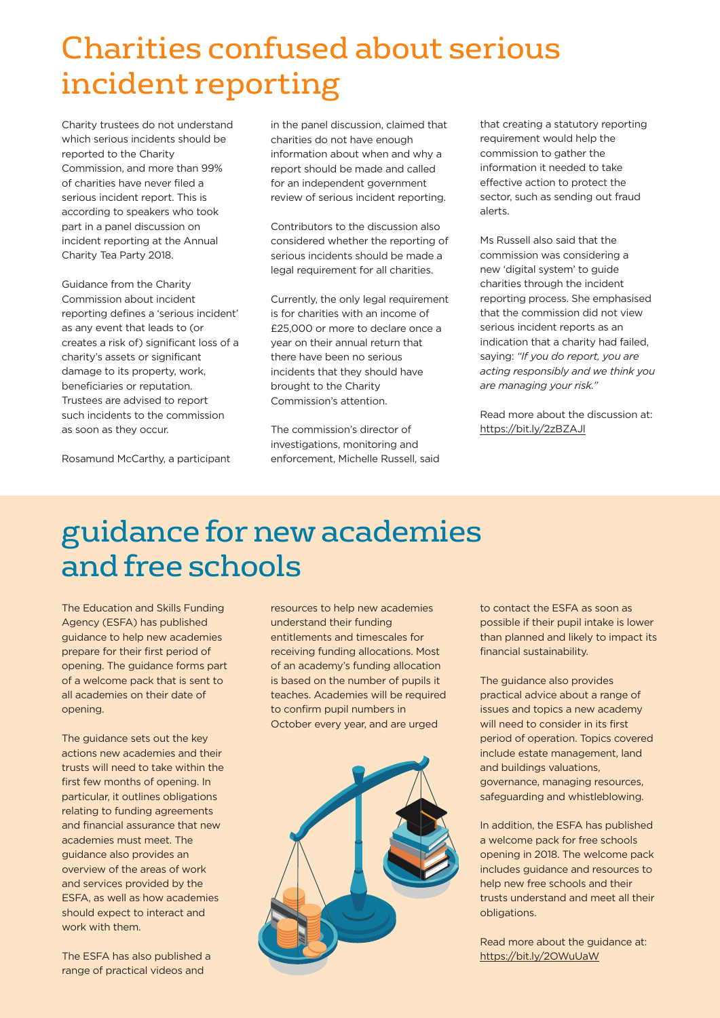## Charities confused about serious incident reporting

Charity trustees do not understand which serious incidents should be reported to the Charity Commission, and more than 99% of charities have never filed a serious incident report. This is according to speakers who took part in a panel discussion on incident reporting at the Annual Charity Tea Party 2018.

Guidance from the Charity Commission about incident reporting defines a 'serious incident' as any event that leads to (or creates a risk of) significant loss of a charity's assets or significant damage to its property, work, beneficiaries or reputation. Trustees are advised to report such incidents to the commission as soon as they occur.

Rosamund McCarthy, a participant

in the panel discussion, claimed that charities do not have enough information about when and why a report should be made and called for an independent government review of serious incident reporting.

Contributors to the discussion also considered whether the reporting of serious incidents should be made a legal requirement for all charities.

Currently, the only legal requirement is for charities with an income of £25,000 or more to declare once a year on their annual return that there have been no serious incidents that they should have brought to the Charity Commission's attention.

The commission's director of investigations, monitoring and enforcement, Michelle Russell, said that creating a statutory reporting requirement would help the commission to gather the information it needed to take effective action to protect the sector, such as sending out fraud alerts.

Ms Russell also said that the commission was considering a new 'digital system' to guide charities through the incident reporting process. She emphasised that the commission did not view serious incident reports as an indication that a charity had failed, saying: *"If you do report, you are acting responsibly and we think you are managing your risk."*

Read more about the discussion at: https://bit.ly/2zBZAJl

### guidance fornew academies andfree schools

The Education and Skills Funding Agency (ESFA) has published guidance to help new academies prepare for their first period of opening. The guidance forms part of a welcome pack that is sent to all academies on their date of opening.

The guidance sets out the key actions new academies and their trusts will need to take within the first few months of opening. In particular, it outlines obligations relating to funding agreements and financial assurance that new academies must meet. The guidance also provides an overview of the areas of work and services provided by the ESFA, as well as how academies should expect to interact and work with them.

The ESFA has also published a range of practical videos and

resources to help new academies understand their funding entitlements and timescales for receiving funding allocations. Most of an academy's funding allocation is based on the number of pupils it teaches. Academies will be required to confirm pupil numbers in October every year, and are urged



to contact the ESFA as soon as possible if their pupil intake is lower than planned and likely to impact its financial sustainability.

The guidance also provides practical advice about a range of issues and topics a new academy will need to consider in its first period of operation. Topics covered include estate management, land and buildings valuations, governance, managing resources, safeguarding and whistleblowing.

In addition, the ESFA has published a welcome pack for free schools opening in 2018. The welcome pack includes guidance and resources to help new free schools and their trusts understand and meet all their obligations.

Read more about the guidance at: https://bit.ly/2OWuUaW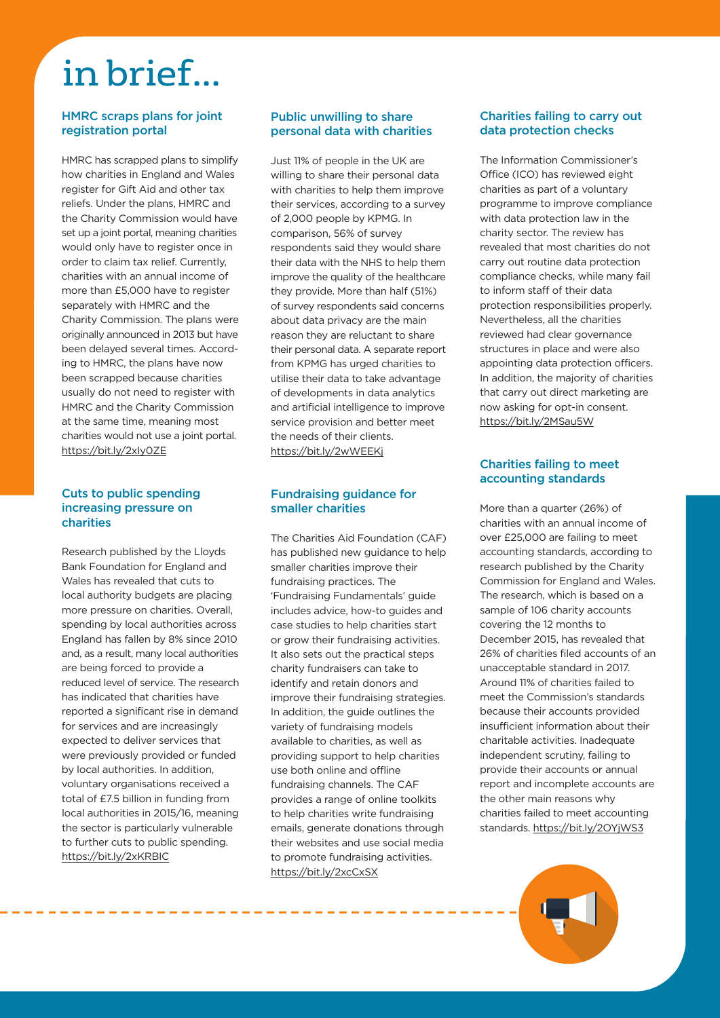## in brief...

#### **HMRC scraps plans for joint registration portal**

HMRC has scrapped plans to simplify how charities in England and Wales register for Gift Aid and other tax reliefs. Under the plans, HMRC and the Charity Commission would have set up a joint portal, meaning charities would only have to register once in order to claim tax relief. Currently, charities with an annual income of more than £5,000 have to register separately with HMRC and the Charity Commission. The plans were originally announced in 2013 but have been delayed several times. According to HMRC, the plans have now been scrapped because charities usually do not need to register with HMRC and the Charity Commission at the same time, meaning most charities would not use a joint portal. https://bit.ly/2xIy0ZE

#### **Cuts to public spending increasing pressure on charities**

Research published by the Lloyds Bank Foundation for England and Wales has revealed that cuts to local authority budgets are placing more pressure on charities. Overall, spending by local authorities across England has fallen by 8% since 2010 and, as a result, many local authorities are being forced to provide a reduced level of service. The research has indicated that charities have reported a significant rise in demand for services and are increasingly expected to deliver services that were previously provided or funded by local authorities. In addition, voluntary organisations received a total of £7.5 billion in funding from local authorities in 2015/16, meaning the sector is particularly vulnerable to further cuts to public spending. https://bit.ly/2xKRBIC

------------------------

#### **Public unwilling to share personal data with charities**

Just 11% of people in the UK are willing to share their personal data with charities to help them improve their services, according to a survey of 2,000 people by KPMG. In comparison, 56% of survey respondents said they would share their data with the NHS to help them improve the quality of the healthcare they provide. More than half (51%) of survey respondents said concerns about data privacy are the main reason they are reluctant to share their personal data. A separate report from KPMG has urged charities to utilise their data to take advantage of developments in data analytics and artificial intelligence to improve service provision and better meet the needs of their clients. https://bit.ly/2wWEEKj

#### **Fundraising guidance for smaller charities**

The Charities Aid Foundation (CAF) has published new guidance to help smaller charities improve their fundraising practices. The 'Fundraising Fundamentals' guide includes advice, how-to guides and case studies to help charities start or grow their fundraising activities. It also sets out the practical steps charity fundraisers can take to identify and retain donors and improve their fundraising strategies. In addition, the guide outlines the variety of fundraising models available to charities, as well as providing support to help charities use both online and offline fundraising channels. The CAF provides a range of online toolkits to help charities write fundraising emails, generate donations through their websites and use social media to promote fundraising activities. https://bit.ly/2xcCxSX

#### **Charities failing to carry out data protection checks**

The Information Commissioner's Office (ICO) has reviewed eight charities as part of a voluntary programme to improve compliance with data protection law in the charity sector. The review has revealed that most charities do not carry out routine data protection compliance checks, while many fail to inform staff of their data protection responsibilities properly. Nevertheless, all the charities reviewed had clear governance structures in place and were also appointing data protection officers. In addition, the majority of charities that carry out direct marketing are now asking for opt-in consent. https://bit.ly/2MSau5W

#### **Charities failing to meet accounting standards**

More than a quarter (26%) of charities with an annual income of over £25,000 are failing to meet accounting standards, according to research published by the Charity Commission for England and Wales. The research, which is based on a sample of 106 charity accounts covering the 12 months to December 2015, has revealed that 26% of charities filed accounts of an unacceptable standard in 2017. Around 11% of charities failed to meet the Commission's standards because their accounts provided insufficient information about their charitable activities. Inadequate independent scrutiny, failing to provide their accounts or annual report and incomplete accounts are the other main reasons why charities failed to meet accounting standards. https://bit.ly/2OYjWS3